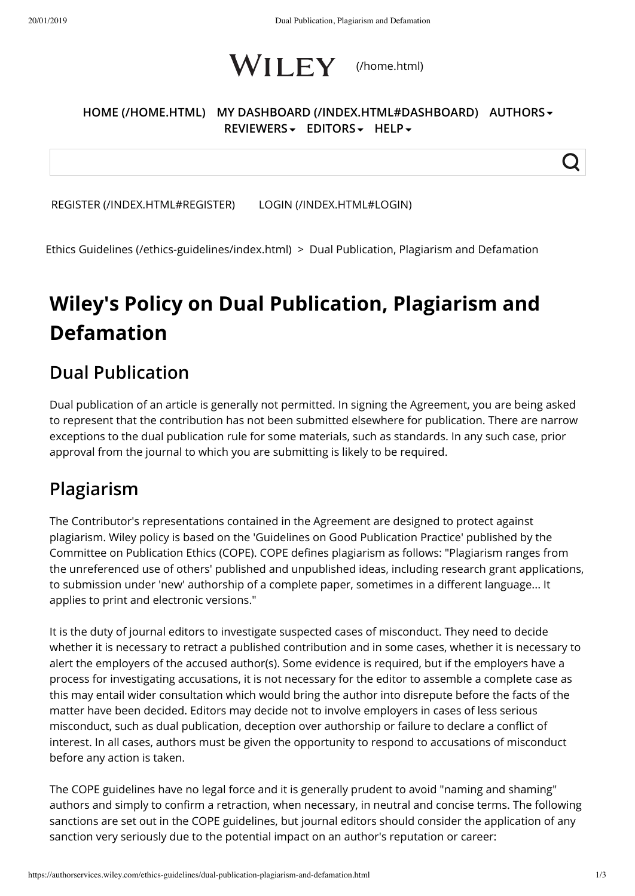

#### **[HOME \(/HOME.HTML\)](https://authorservices.wiley.com/home.html) [MY DASHBOARD \(/INDEX.HTML#DASHBOARD\)](https://authorservices.wiley.com/index.html#dashboard) AUTHORS REVIEWERS EDITORS HELP**

[REGISTER \(/INDEX.HTML#REGISTER\)](https://authorservices.wiley.com/index.html#register) [LOGIN \(/INDEX.HTML#LOGIN\)](https://authorservices.wiley.com/index.html#login)

[Ethics Guidelines \(/ethics-guidelines/index.html\)](https://authorservices.wiley.com/ethics-guidelines/index.html)  > Dual Publication, Plagiarism and Defamation

# **Wiley's Policy on Dual Publication, Plagiarism and Defamation**

### **Dual Publication**

Dual publication of an article is generally not permitted. In signing the Agreement, you are being asked to represent that the contribution has not been submitted elsewhere for publication. There are narrow exceptions to the dual publication rule for some materials, such as standards. In any such case, prior approval from the journal to which you are submitting is likely to be required.

# **Plagiarism**

The Contributor's representations contained in the Agreement are designed to protect against plagiarism. Wiley policy is based on the 'Guidelines on Good Publication Practice' published by the Committee on Publication Ethics (COPE). COPE defines plagiarism as follows: "Plagiarism ranges from the unreferenced use of others' published and unpublished ideas, including research grant applications, to submission under 'new' authorship of a complete paper, sometimes in a different language... It applies to print and electronic versions."

It is the duty of journal editors to investigate suspected cases of misconduct. They need to decide whether it is necessary to retract a published contribution and in some cases, whether it is necessary to alert the employers of the accused author(s). Some evidence is required, but if the employers have a process for investigating accusations, it is not necessary for the editor to assemble a complete case as this may entail wider consultation which would bring the author into disrepute before the facts of the matter have been decided. Editors may decide not to involve employers in cases of less serious misconduct, such as dual publication, deception over authorship or failure to declare a conflict of interest. In all cases, authors must be given the opportunity to respond to accusations of misconduct before any action is taken.

The COPE guidelines have no legal force and it is generally prudent to avoid "naming and shaming" authors and simply to confirm a retraction, when necessary, in neutral and concise terms. The following sanctions are set out in the COPE guidelines, but journal editors should consider the application of any sanction very seriously due to the potential impact on an author's reputation or career: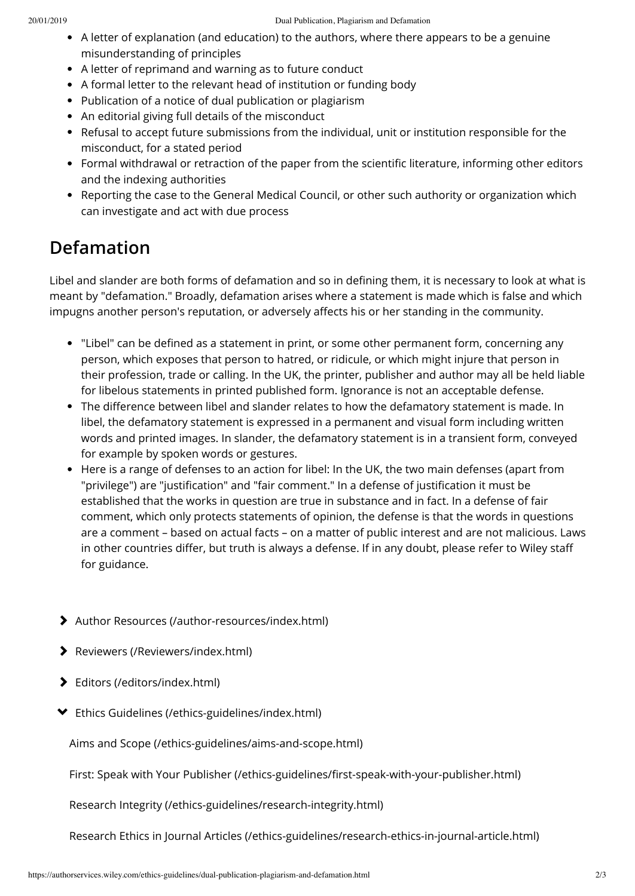- A letter of explanation (and education) to the authors, where there appears to be a genuine misunderstanding of principles
- A letter of reprimand and warning as to future conduct
- A formal letter to the relevant head of institution or funding body
- Publication of a notice of dual publication or plagiarism
- An editorial giving full details of the misconduct
- Refusal to accept future submissions from the individual, unit or institution responsible for the misconduct, for a stated period
- Formal withdrawal or retraction of the paper from the scientific literature, informing other editors and the indexing authorities
- Reporting the case to the General Medical Council, or other such authority or organization which can investigate and act with due process

# **Defamation**

Libel and slander are both forms of defamation and so in defining them, it is necessary to look at what is meant by "defamation." Broadly, defamation arises where a statement is made which is false and which impugns another person's reputation, or adversely affects his or her standing in the community.

- "Libel" can be defined as a statement in print, or some other permanent form, concerning any person, which exposes that person to hatred, or ridicule, or which might injure that person in their profession, trade or calling. In the UK, the printer, publisher and author may all be held liable for libelous statements in printed published form. Ignorance is not an acceptable defense.
- The difference between libel and slander relates to how the defamatory statement is made. In libel, the defamatory statement is expressed in a permanent and visual form including written words and printed images. In slander, the defamatory statement is in a transient form, conveyed for example by spoken words or gestures.
- Here is a range of defenses to an action for libel: In the UK, the two main defenses (apart from "privilege") are "justification" and "fair comment." In a defense of justification it must be established that the works in question are true in substance and in fact. In a defense of fair comment, which only protects statements of opinion, the defense is that the words in questions are a comment – based on actual facts – on a matter of public interest and are not malicious. Laws in other countries differ, but truth is always a defense. If in any doubt, please refer to Wiley staff for guidance.
- [Author Resources \(/author-resources/index.html\)](https://authorservices.wiley.com/author-resources/index.html)
- [Reviewers \(/Reviewers/index.html\)](https://authorservices.wiley.com/Reviewers/index.html)
- [Editors \(/editors/index.html\)](https://authorservices.wiley.com/editors/index.html)
- [Ethics Guidelines \(/ethics-guidelines/index.html\)](https://authorservices.wiley.com/ethics-guidelines/index.html)

[Aims and Scope \(/ethics-guidelines/aims-and-scope.html\)](https://authorservices.wiley.com/ethics-guidelines/aims-and-scope.html)

[First: Speak with Your Publisher \(/ethics-guidelines/first-speak-with-your-publisher.html\)](https://authorservices.wiley.com/ethics-guidelines/first-speak-with-your-publisher.html)

[Research Integrity \(/ethics-guidelines/research-integrity.html\)](https://authorservices.wiley.com/ethics-guidelines/research-integrity.html)

[Research Ethics in Journal Articles \(/ethics-guidelines/research-ethics-in-journal-article.html\)](https://authorservices.wiley.com/ethics-guidelines/research-ethics-in-journal-article.html)